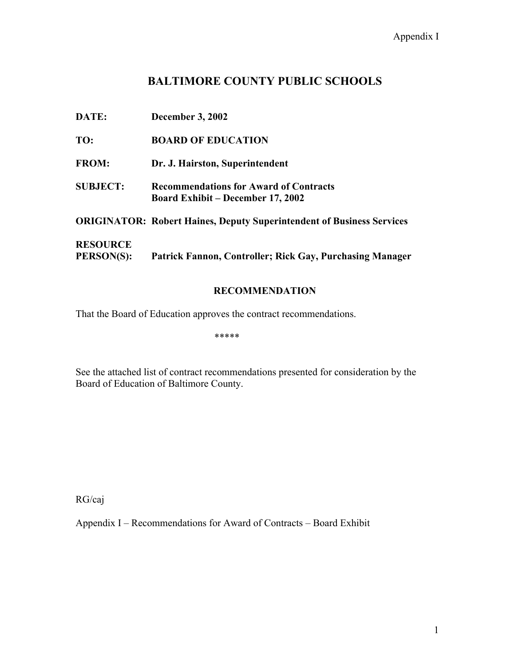# **BALTIMORE COUNTY PUBLIC SCHOOLS**

| DATE:                                | <b>December 3, 2002</b>                                                                   |
|--------------------------------------|-------------------------------------------------------------------------------------------|
| TO:                                  | <b>BOARD OF EDUCATION</b>                                                                 |
| <b>FROM:</b>                         | Dr. J. Hairston, Superintendent                                                           |
| <b>SUBJECT:</b>                      | <b>Recommendations for Award of Contracts</b><br><b>Board Exhibit – December 17, 2002</b> |
|                                      | <b>ORIGINATOR: Robert Haines, Deputy Superintendent of Business Services</b>              |
| <b>RESOURCE</b><br><b>PERSON(S):</b> | Patrick Fannon, Controller; Rick Gay, Purchasing Manager                                  |

# **RECOMMENDATION**

That the Board of Education approves the contract recommendations.

\*\*\*\*\*

See the attached list of contract recommendations presented for consideration by the Board of Education of Baltimore County.

RG/caj

Appendix I – Recommendations for Award of Contracts – Board Exhibit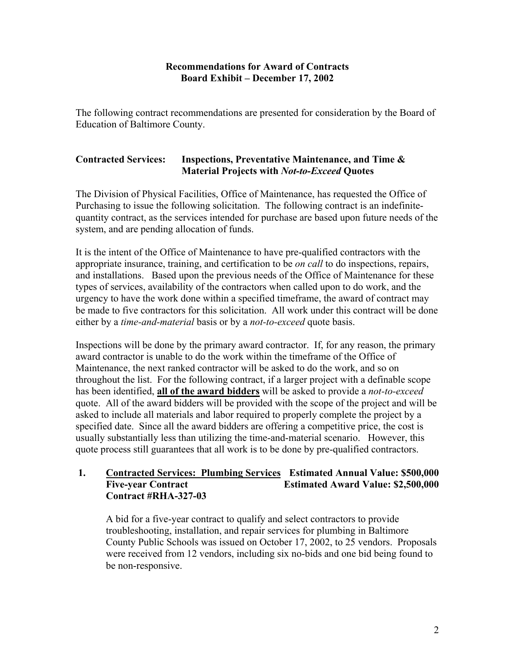# **Recommendations for Award of Contracts Board Exhibit – December 17, 2002**

The following contract recommendations are presented for consideration by the Board of Education of Baltimore County.

# **Contracted Services: Inspections, Preventative Maintenance, and Time & Material Projects with** *Not-to-Exceed* **Quotes**

The Division of Physical Facilities, Office of Maintenance, has requested the Office of Purchasing to issue the following solicitation. The following contract is an indefinitequantity contract, as the services intended for purchase are based upon future needs of the system, and are pending allocation of funds.

It is the intent of the Office of Maintenance to have pre-qualified contractors with the appropriate insurance, training, and certification to be *on call* to do inspections, repairs, and installations. Based upon the previous needs of the Office of Maintenance for these types of services, availability of the contractors when called upon to do work, and the urgency to have the work done within a specified timeframe, the award of contract may be made to five contractors for this solicitation. All work under this contract will be done either by a *time-and-material* basis or by a *not-to-exceed* quote basis.

Inspections will be done by the primary award contractor. If, for any reason, the primary award contractor is unable to do the work within the timeframe of the Office of Maintenance, the next ranked contractor will be asked to do the work, and so on throughout the list. For the following contract, if a larger project with a definable scope has been identified, **all of the award bidders** will be asked to provide a *not-to-exceed* quote. All of the award bidders will be provided with the scope of the project and will be asked to include all materials and labor required to properly complete the project by a specified date. Since all the award bidders are offering a competitive price, the cost is usually substantially less than utilizing the time-and-material scenario. However, this quote process still guarantees that all work is to be done by pre-qualified contractors.

# **1. Contracted Services: Plumbing Services Estimated Annual Value: \$500,000 Five-year Contract Estimated Award Value: \$2,500,000 Contract #RHA-327-03**

A bid for a five-year contract to qualify and select contractors to provide troubleshooting, installation, and repair services for plumbing in Baltimore County Public Schools was issued on October 17, 2002, to 25 vendors. Proposals were received from 12 vendors, including six no-bids and one bid being found to be non-responsive.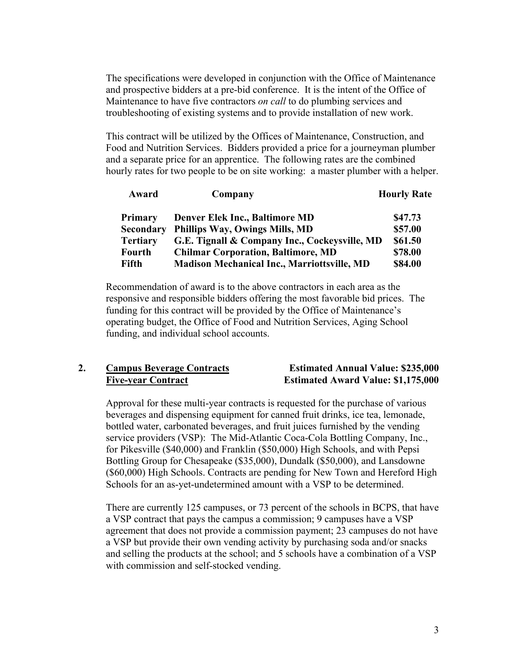The specifications were developed in conjunction with the Office of Maintenance and prospective bidders at a pre-bid conference. It is the intent of the Office of Maintenance to have five contractors *on call* to do plumbing services and troubleshooting of existing systems and to provide installation of new work.

This contract will be utilized by the Offices of Maintenance, Construction, and Food and Nutrition Services. Bidders provided a price for a journeyman plumber and a separate price for an apprentice. The following rates are the combined hourly rates for two people to be on site working: a master plumber with a helper.

| Award           | Company                                            | <b>Hourly Rate</b> |
|-----------------|----------------------------------------------------|--------------------|
| Primary         | Denver Elek Inc., Baltimore MD                     | \$47.73            |
| Secondary       | Phillips Way, Owings Mills, MD                     | \$57.00            |
| <b>Tertiary</b> | G.E. Tignall & Company Inc., Cockeysville, MD      | \$61.50            |
| Fourth          | <b>Chilmar Corporation, Baltimore, MD</b>          | \$78.00            |
| Fifth           | <b>Madison Mechanical Inc., Marriottsville, MD</b> | \$84.00            |

Recommendation of award is to the above contractors in each area as the responsive and responsible bidders offering the most favorable bid prices. The funding for this contract will be provided by the Office of Maintenance's operating budget, the Office of Food and Nutrition Services, Aging School funding, and individual school accounts.

### **2. Campus Beverage Contracts Estimated Annual Value: \$235,000 Five-year Contract Estimated Award Value: \$1,175,000**

Approval for these multi-year contracts is requested for the purchase of various beverages and dispensing equipment for canned fruit drinks, ice tea, lemonade, bottled water, carbonated beverages, and fruit juices furnished by the vending service providers (VSP): The Mid-Atlantic Coca-Cola Bottling Company, Inc., for Pikesville (\$40,000) and Franklin (\$50,000) High Schools, and with Pepsi Bottling Group for Chesapeake (\$35,000), Dundalk (\$50,000), and Lansdowne (\$60,000) High Schools. Contracts are pending for New Town and Hereford High Schools for an as-yet-undetermined amount with a VSP to be determined.

There are currently 125 campuses, or 73 percent of the schools in BCPS, that have a VSP contract that pays the campus a commission; 9 campuses have a VSP agreement that does not provide a commission payment; 23 campuses do not have a VSP but provide their own vending activity by purchasing soda and/or snacks and selling the products at the school; and 5 schools have a combination of a VSP with commission and self-stocked vending.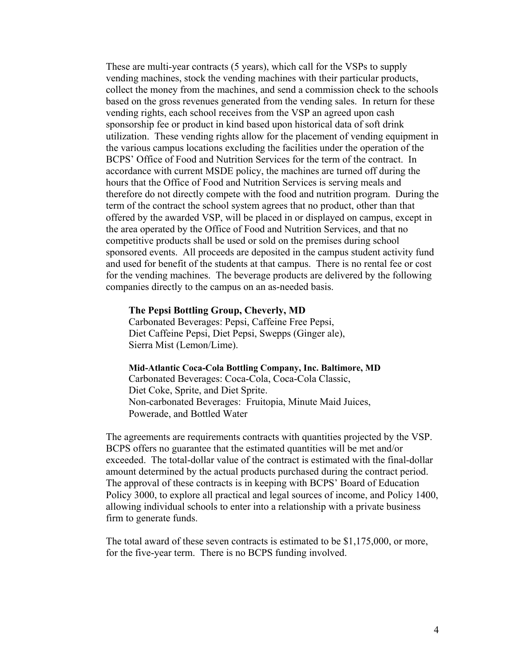These are multi-year contracts (5 years), which call for the VSPs to supply vending machines, stock the vending machines with their particular products, collect the money from the machines, and send a commission check to the schools based on the gross revenues generated from the vending sales. In return for these vending rights, each school receives from the VSP an agreed upon cash sponsorship fee or product in kind based upon historical data of soft drink utilization. These vending rights allow for the placement of vending equipment in the various campus locations excluding the facilities under the operation of the BCPS' Office of Food and Nutrition Services for the term of the contract. In accordance with current MSDE policy, the machines are turned off during the hours that the Office of Food and Nutrition Services is serving meals and therefore do not directly compete with the food and nutrition program. During the term of the contract the school system agrees that no product, other than that offered by the awarded VSP, will be placed in or displayed on campus, except in the area operated by the Office of Food and Nutrition Services, and that no competitive products shall be used or sold on the premises during school sponsored events. All proceeds are deposited in the campus student activity fund and used for benefit of the students at that campus. There is no rental fee or cost for the vending machines. The beverage products are delivered by the following companies directly to the campus on an as-needed basis.

#### **The Pepsi Bottling Group, Cheverly, MD**

Carbonated Beverages: Pepsi, Caffeine Free Pepsi, Diet Caffeine Pepsi, Diet Pepsi, Swepps (Ginger ale), Sierra Mist (Lemon/Lime).

#### **Mid-Atlantic Coca-Cola Bottling Company, Inc. Baltimore, MD**

Carbonated Beverages: Coca-Cola, Coca-Cola Classic, Diet Coke, Sprite, and Diet Sprite. Non-carbonated Beverages: Fruitopia, Minute Maid Juices, Powerade, and Bottled Water

The agreements are requirements contracts with quantities projected by the VSP. BCPS offers no guarantee that the estimated quantities will be met and/or exceeded. The total-dollar value of the contract is estimated with the final-dollar amount determined by the actual products purchased during the contract period. The approval of these contracts is in keeping with BCPS' Board of Education Policy 3000, to explore all practical and legal sources of income, and Policy 1400, allowing individual schools to enter into a relationship with a private business firm to generate funds.

The total award of these seven contracts is estimated to be \$1,175,000, or more, for the five-year term. There is no BCPS funding involved.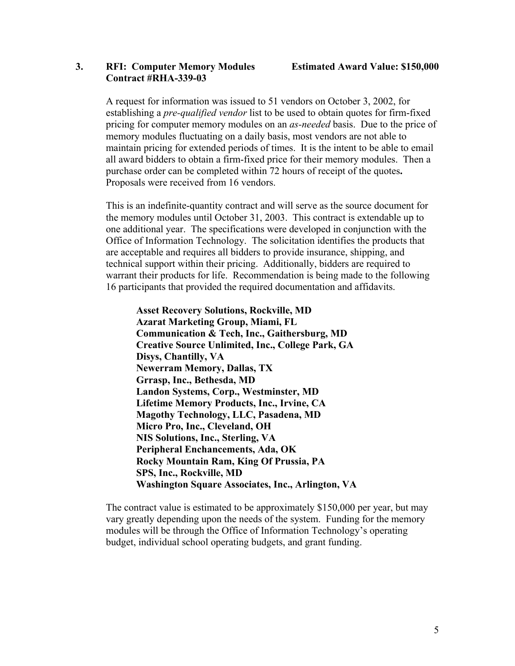## **3. RFI: Computer Memory Modules Estimated Award Value: \$150,000 Contract #RHA-339-03**

A request for information was issued to 51 vendors on October 3, 2002, for establishing a *pre-qualified vendor* list to be used to obtain quotes for firm-fixed pricing for computer memory modules on an *as-needed* basis. Due to the price of memory modules fluctuating on a daily basis, most vendors are not able to maintain pricing for extended periods of times. It is the intent to be able to email all award bidders to obtain a firm-fixed price for their memory modules. Then a purchase order can be completed within 72 hours of receipt of the quotes**.**  Proposals were received from 16 vendors.

This is an indefinite-quantity contract and will serve as the source document for the memory modules until October 31, 2003. This contract is extendable up to one additional year. The specifications were developed in conjunction with the Office of Information Technology. The solicitation identifies the products that are acceptable and requires all bidders to provide insurance, shipping, and technical support within their pricing. Additionally, bidders are required to warrant their products for life. Recommendation is being made to the following 16 participants that provided the required documentation and affidavits.

**Asset Recovery Solutions, Rockville, MD Azarat Marketing Group, Miami, FL Communication & Tech, Inc., Gaithersburg, MD Creative Source Unlimited, Inc., College Park, GA Disys, Chantilly, VA Newerram Memory, Dallas, TX Grrasp, Inc., Bethesda, MD Landon Systems, Corp., Westminster, MD Lifetime Memory Products, Inc., Irvine, CA Magothy Technology, LLC, Pasadena, MD Micro Pro, Inc., Cleveland, OH NIS Solutions, Inc., Sterling, VA Peripheral Enchancements, Ada, OK Rocky Mountain Ram, King Of Prussia, PA SPS, Inc., Rockville, MD Washington Square Associates, Inc., Arlington, VA** 

The contract value is estimated to be approximately \$150,000 per year, but may vary greatly depending upon the needs of the system. Funding for the memory modules will be through the Office of Information Technology's operating budget, individual school operating budgets, and grant funding.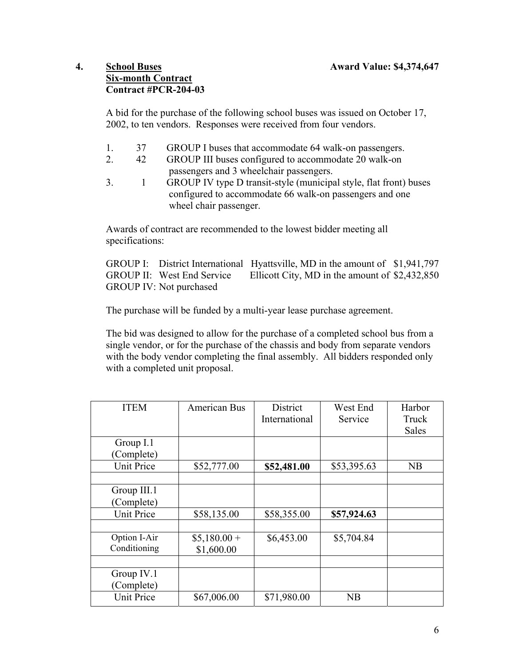# **4. School Buses Award Value: \$4,374,647 Six-month Contract Contract #PCR-204-03**

A bid for the purchase of the following school buses was issued on October 17, 2002, to ten vendors. Responses were received from four vendors.

- 1. 37 GROUP I buses that accommodate 64 walk-on passengers.
- 2. 42 GROUP III buses configured to accommodate 20 walk-on passengers and 3 wheelchair passengers.
- 3. 1 GROUP IV type D transit-style (municipal style, flat front) buses configured to accommodate 66 walk-on passengers and one wheel chair passenger.

Awards of contract are recommended to the lowest bidder meeting all specifications:

 GROUP I: District International Hyattsville, MD in the amount of \$1,941,797 GROUP II: West End Service Ellicott City, MD in the amount of \$2,432,850 GROUP IV: Not purchased

The purchase will be funded by a multi-year lease purchase agreement.

The bid was designed to allow for the purchase of a completed school bus from a single vendor, or for the purchase of the chassis and body from separate vendors with the body vendor completing the final assembly. All bidders responded only with a completed unit proposal.

| <b>ITEM</b>       | <b>American Bus</b> | District      | West End    | Harbor       |
|-------------------|---------------------|---------------|-------------|--------------|
|                   |                     | International | Service     | Truck        |
|                   |                     |               |             | <b>Sales</b> |
| Group I.1         |                     |               |             |              |
| (Complete)        |                     |               |             |              |
| <b>Unit Price</b> | \$52,777.00         | \$52,481.00   | \$53,395.63 | NB           |
|                   |                     |               |             |              |
| Group III.1       |                     |               |             |              |
| (Complete)        |                     |               |             |              |
| Unit Price        | \$58,135.00         | \$58,355.00   | \$57,924.63 |              |
|                   |                     |               |             |              |
| Option I-Air      | $$5,180.00+$        | \$6,453.00    | \$5,704.84  |              |
| Conditioning      | \$1,600.00          |               |             |              |
|                   |                     |               |             |              |
| Group IV.1        |                     |               |             |              |
| (Complete)        |                     |               |             |              |
| Unit Price        | \$67,006.00         | \$71,980.00   | NB          |              |